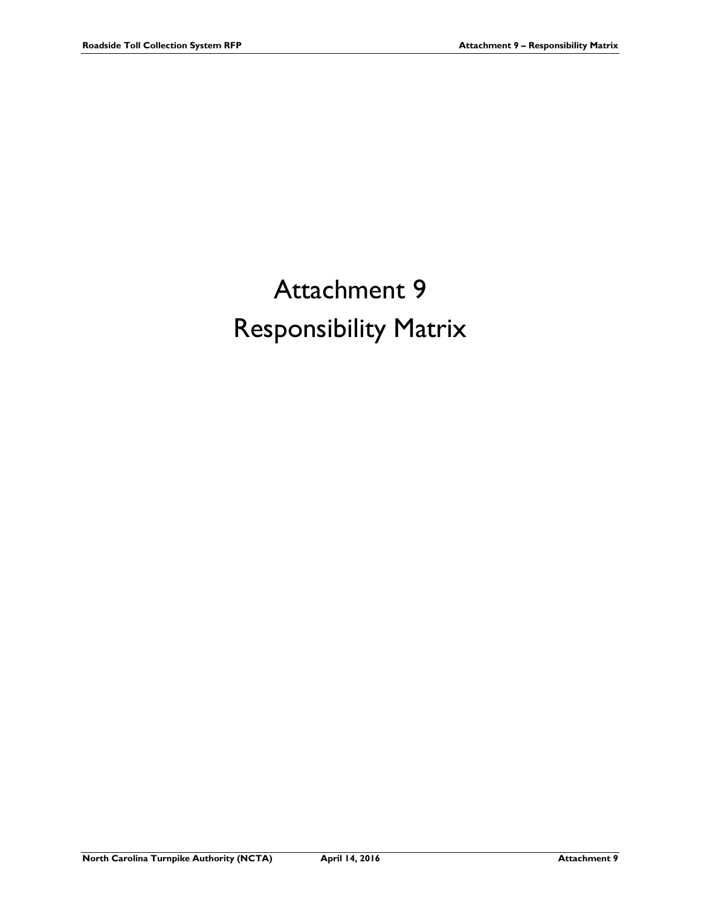## Attachment 9 Responsibility Matrix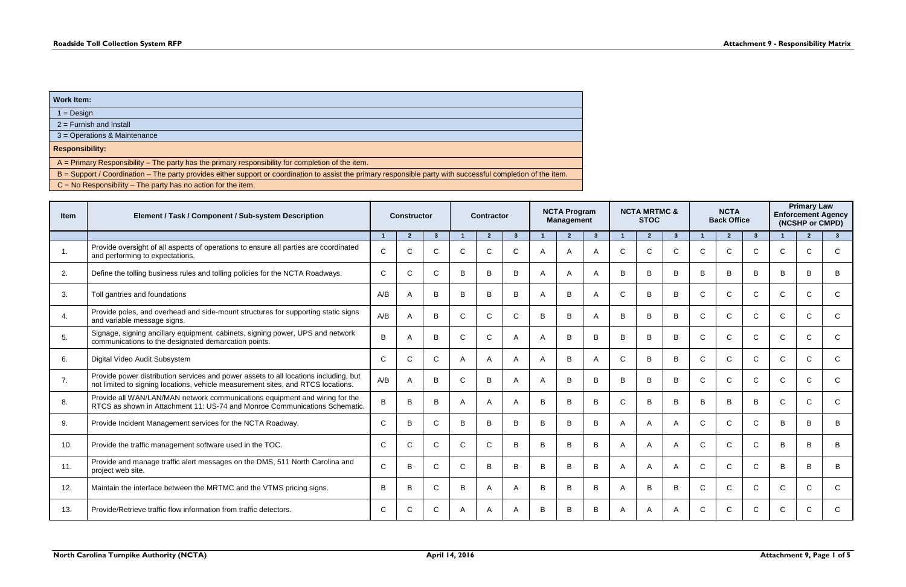| Work Item:                                                                                                                                                     |
|----------------------------------------------------------------------------------------------------------------------------------------------------------------|
| $1 = Design$                                                                                                                                                   |
| $2 =$ Furnish and Install                                                                                                                                      |
| 3 = Operations & Maintenance                                                                                                                                   |
| <b>Responsibility:</b>                                                                                                                                         |
| A = Primary Responsibility - The party has the primary responsibility for completion of the item.                                                              |
| B = Support / Coordination – The party provides either support or coordination to assist the primary responsible party with successful completion of the item. |
| $C = No$ Responsibility – The party has no action for the item.                                                                                                |

| <b>Item</b>    | Element / Task / Component / Sub-system Description                                                                                                                      |              | <b>Constructor</b>      |                |              | <b>Contractor</b> |                |   | <b>NCTA Program</b><br><b>Management</b> |                |                | <b>NCTA MRTMC &amp;</b><br><b>STOC</b> |                |              | <b>NCTA</b><br><b>Back Office</b> |              | <b>Primary Law</b><br><b>Enforcement Agency</b><br>(NCSHP or CMPD) |                |               |  |
|----------------|--------------------------------------------------------------------------------------------------------------------------------------------------------------------------|--------------|-------------------------|----------------|--------------|-------------------|----------------|---|------------------------------------------|----------------|----------------|----------------------------------------|----------------|--------------|-----------------------------------|--------------|--------------------------------------------------------------------|----------------|---------------|--|
|                |                                                                                                                                                                          | -1           | $\overline{\mathbf{z}}$ | 3 <sup>5</sup> |              | $\overline{2}$    | $\mathbf{3}$   |   | $\overline{2}$                           | 3 <sup>1</sup> |                | $\overline{2}$                         | 3 <sup>5</sup> |              | $\overline{2}$                    | $\mathbf{3}$ |                                                                    | $\overline{2}$ | $\mathbf{3}$  |  |
| $\mathbf{1}$ . | Provide oversight of all aspects of operations to ensure all parties are coordinated<br>and performing to expectations.                                                  | $\mathsf{C}$ | C                       | $\mathsf{C}$   | $\mathsf{C}$ | $\mathsf{C}$      | $\mathsf{C}$   | A | $\mathsf{A}$                             | $\mathsf{A}$   | $\mathsf{C}$   | $\mathsf{C}$                           | $\mathsf{C}$   | $\mathsf{C}$ | $\mathsf{C}$                      | C            | $\mathsf{C}$                                                       | C              | $\mathsf{C}$  |  |
| 2.             | Define the tolling business rules and tolling policies for the NCTA Roadways.                                                                                            | $\mathsf{C}$ | C                       | $\mathsf{C}$   | B            | B                 | B              | A | $\overline{A}$                           | A              | B              | B                                      | B              | B            | B                                 | B            | B                                                                  | B              | B             |  |
| 3.             | Toll gantries and foundations                                                                                                                                            | A/B          |                         | B              | B            | B                 | B              |   | B                                        |                | $\mathsf{C}$   | B                                      | B              | $\mathsf{C}$ | C                                 | C            | $\mathsf{C}$                                                       | C              | $\mathsf{C}$  |  |
| 4.             | Provide poles, and overhead and side-mount structures for supporting static signs<br>and variable message signs.                                                         | A/B          | A                       | B              | C            | $\mathsf{C}$      | $\mathsf{C}$   | B | B                                        |                | B              | B                                      | B              | $\mathsf{C}$ | $\mathsf{C}$                      | C            | $\mathsf{C}$                                                       | $\mathcal{C}$  | $\mathsf{C}$  |  |
| 5.             | Signage, signing ancillary equipment, cabinets, signing power, UPS and network<br>communications to the designated demarcation points.                                   | $\sf B$      |                         | B              | $\mathsf{C}$ | $\mathsf{C}$      | A              | A | B                                        | B              | B              | B                                      | B              | $\mathsf{C}$ | $\mathsf{C}$                      | C            | $\mathsf{C}$                                                       | C              | C             |  |
| 6.             | Digital Video Audit Subsystem                                                                                                                                            | $\mathsf{C}$ | C                       | $\mathsf{C}$   | A            | A                 | A              |   | B                                        |                | C              | B                                      | B              | $\mathsf{C}$ | $\mathsf{C}$                      | C            | $\mathsf{C}$                                                       | C              | $\mathsf{C}$  |  |
| 7.             | Provide power distribution services and power assets to all locations including, but<br>not limited to signing locations, vehicle measurement sites, and RTCS locations. | A/B          |                         | B              | $\mathsf{C}$ | B                 | A              |   | B                                        | B              | B              | B                                      | B              | $\mathsf{C}$ | $\mathsf{C}$                      | $\mathsf{C}$ | $\mathsf{C}$                                                       | C              | C             |  |
| 8.             | Provide all WAN/LAN/MAN network communications equipment and wiring for the<br>RTCS as shown in Attachment 11: US-74 and Monroe Communications Schematic.                | B            | B                       | B              | А            | A                 | A              | B | B                                        | B              | $\mathsf{C}$   | B                                      | B              | B            | B                                 | B            | $\mathsf{C}$                                                       | $\mathcal{C}$  | $\mathsf{C}$  |  |
| 9.             | Provide Incident Management services for the NCTA Roadway.                                                                                                               | $\mathsf{C}$ | B                       | $\mathsf{C}$   | B            | B                 | B              | B | B                                        | B              | A              |                                        | A              | $\mathsf{C}$ | $\mathsf{C}$                      | C            | B                                                                  | В              | B             |  |
| 10.            | Provide the traffic management software used in the TOC.                                                                                                                 | $\mathsf{C}$ | C                       | $\mathsf{C}$   | $\mathsf{C}$ | $\mathsf{C}$      | B              | B | $\mathsf{B}$                             | B              | A              | A                                      | A              | $\mathsf{C}$ | $\mathsf{C}$                      | C.           | B                                                                  | B.             | B             |  |
| 11.            | Provide and manage traffic alert messages on the DMS, 511 North Carolina and<br>project web site.                                                                        | $\mathsf{C}$ | B                       | $\mathsf{C}$   | $\mathsf{C}$ | В                 | B              | B | B                                        | B              | $\overline{A}$ |                                        | A              | $\mathsf{C}$ | $\mathsf{C}$                      | C            | B                                                                  | B              | B             |  |
| 12.            | Maintain the interface between the MRTMC and the VTMS pricing signs.                                                                                                     | B            | B                       | $\mathsf{C}$   | B            | A                 | $\overline{A}$ | B | B                                        | B              | A              | B                                      | B              | $\mathsf{C}$ | $\mathsf{C}$                      | C            | $\mathsf{C}$                                                       | $\mathcal{C}$  | $\mathcal{C}$ |  |
| 13.            | Provide/Retrieve traffic flow information from traffic detectors.                                                                                                        | C            | C                       | C              |              |                   |                | B | B                                        |                |                |                                        | A              | C            | C                                 |              | C                                                                  |                |               |  |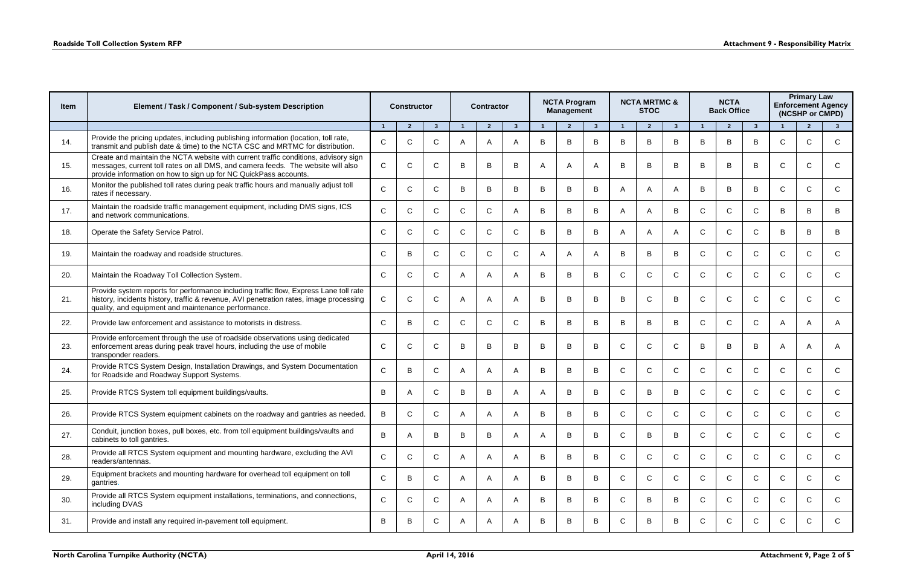| <b>Item</b> | Element / Task / Component / Sub-system Description                                                                                                                                                                                         | <b>Constructor</b> |                |              | <b>Contractor</b> |                |                |   | <b>NCTA Program</b><br><b>Management</b> |              |              | <b>NCTA MRTMC &amp;</b><br><b>STOC</b> |              |              | <b>NCTA</b><br><b>Back Office</b> |              | <b>Primary Law</b><br><b>Enforcement Agency</b><br>(NCSHP or CMPD) |                |              |  |  |
|-------------|---------------------------------------------------------------------------------------------------------------------------------------------------------------------------------------------------------------------------------------------|--------------------|----------------|--------------|-------------------|----------------|----------------|---|------------------------------------------|--------------|--------------|----------------------------------------|--------------|--------------|-----------------------------------|--------------|--------------------------------------------------------------------|----------------|--------------|--|--|
|             |                                                                                                                                                                                                                                             | $\overline{1}$     | $\overline{2}$ | $3^{\circ}$  |                   | $\overline{2}$ | $\mathbf{3}$   |   | $\overline{2}$                           | $\mathbf{3}$ |              | $\overline{2}$                         | $\mathbf{3}$ |              | $\mathbf{2}$                      | $3^{\circ}$  |                                                                    | $\overline{2}$ | $\mathbf{3}$ |  |  |
| 14.         | Provide the pricing updates, including publishing information (location, toll rate,<br>transmit and publish date & time) to the NCTA CSC and MRTMC for distribution.                                                                        | $\mathsf{C}$       | C              | $\mathsf{C}$ | A                 | $\overline{A}$ | $\overline{A}$ | B | B                                        | B            | B            | B                                      | B            | B            | B                                 | B            | $\mathsf{C}$                                                       | C              | C            |  |  |
| 15.         | Create and maintain the NCTA website with current traffic conditions, advisory sign<br>messages, current toll rates on all DMS, and camera feeds. The website will also<br>provide information on how to sign up for NC QuickPass accounts. | $\mathsf{C}$       | C              | $\mathsf{C}$ | B                 | B              | B              | A | $\overline{A}$                           |              | B            | в                                      | B            | B            | B                                 | B            | C                                                                  | C              | C.           |  |  |
| 16.         | Monitor the published toll rates during peak traffic hours and manually adjust toll<br>rates if necessary.                                                                                                                                  | $\mathsf{C}$       | C              | $\mathsf{C}$ | B                 | B              | B              | B | B                                        | B            | A            | A                                      | A            | B            | B                                 | B            | $\mathsf{C}$                                                       | C              | C            |  |  |
| 17.         | Maintain the roadside traffic management equipment, including DMS signs, ICS<br>and network communications.                                                                                                                                 | $\mathsf{C}$       | C              | C.           | $\mathsf{C}$      | $\mathsf{C}$   | $\overline{A}$ | B | B                                        | B            | A            |                                        | B            | $\mathsf{C}$ | $\mathsf{C}$                      | C.           | B                                                                  | в              | B            |  |  |
| 18.         | Operate the Safety Service Patrol.                                                                                                                                                                                                          | $\mathsf{C}$       | C              | $\mathsf{C}$ | $\mathsf{C}$      | $\mathsf{C}$   | C              | B | B                                        | B            | A            | A                                      | A            | $\mathsf{C}$ | $\mathsf{C}$                      | C.           | B                                                                  | B              | B            |  |  |
| 19.         | Maintain the roadway and roadside structures.                                                                                                                                                                                               | $\mathsf{C}$       | B              | $\mathsf{C}$ | $\mathsf{C}$      | $\mathsf{C}$   | $\mathsf{C}$   | A | $\mathsf{A}$                             |              | B            | В                                      | B            | $\mathsf{C}$ | $\mathsf{C}$                      | C.           | $\mathsf{C}$                                                       | $\mathsf{C}$   | $\mathsf{C}$ |  |  |
| 20.         | Maintain the Roadway Toll Collection System.                                                                                                                                                                                                | $\mathsf{C}$       | C              | $\mathsf{C}$ | A                 | $\mathsf{A}$   | $\overline{A}$ | B | B                                        | B            | $\mathsf{C}$ | $\mathsf{C}$                           | $\mathsf{C}$ | $\mathsf{C}$ | $\mathsf{C}$                      | $\mathsf{C}$ | $\mathsf{C}$                                                       | C              | $\mathsf{C}$ |  |  |
| 21.         | Provide system reports for performance including traffic flow, Express Lane toll rate<br>history, incidents history, traffic & revenue, AVI penetration rates, image processing<br>quality, and equipment and maintenance performance.      | $\mathsf{C}$       | C              | $\mathsf{C}$ | A                 | A              | $\overline{A}$ | B | B                                        | B            | B            |                                        | B            | C            | C                                 | C            | C                                                                  | C              | C.           |  |  |
| 22.         | Provide law enforcement and assistance to motorists in distress.                                                                                                                                                                            | $\mathsf{C}$       | B              | $\mathsf{C}$ | $\mathsf{C}$      | $\mathsf{C}$   | $\mathsf{C}$   | B | B                                        | B            | B            | B                                      | B            | $\mathsf{C}$ | $\mathsf{C}$                      | C            | A                                                                  | A              | A            |  |  |
| 23.         | Provide enforcement through the use of roadside observations using dedicated<br>enforcement areas during peak travel hours, including the use of mobile<br>transponder readers.                                                             | $\mathsf C$        | $\mathsf{C}$   | $\mathsf C$  | B                 | B              | B              | B | $\mathsf B$                              | B            | $\mathsf{C}$ | $\mathsf{C}$                           | $\mathsf C$  | B            | B                                 | B            | A                                                                  | A              | A            |  |  |
| 24.         | Provide RTCS System Design, Installation Drawings, and System Documentation<br>for Roadside and Roadway Support Systems.                                                                                                                    | $\mathsf{C}$       | B              | $\mathsf{C}$ | A                 | A              | $\overline{A}$ | B | B                                        | B            | $\mathsf{C}$ | $\mathsf{C}$                           | $\mathsf{C}$ | $\mathsf{C}$ | $\mathsf{C}$                      | $\mathsf{C}$ | $\mathsf{C}$                                                       | $\mathsf{C}$   | C.           |  |  |
| 25.         | Provide RTCS System toll equipment buildings/vaults.                                                                                                                                                                                        | B                  | A              | C            | B                 | B              | A              | A | B                                        | B            | C            | В                                      | B            | $\mathsf{C}$ | $\mathsf{C}$                      | C            | $\mathsf{C}$                                                       | C              | $\mathsf{C}$ |  |  |
| 26.         | Provide RTCS System equipment cabinets on the roadway and gantries as needed.                                                                                                                                                               | B                  | C              | C.           |                   |                |                | B | B                                        |              |              |                                        | C            |              | C                                 |              |                                                                    |                |              |  |  |
| 27.         | Conduit, junction boxes, pull boxes, etc. from toll equipment buildings/vaults and<br>cabinets to toll gantries.                                                                                                                            | $\sf B$            | A              | B            | B                 | B              | A              | A | B                                        | B            | $\mathsf{C}$ | B                                      | B            | $\mathsf{C}$ | $\mathsf{C}$                      | $\mathsf C$  | $\mathsf C$                                                        | $\mathsf{C}$   | $\mathsf{C}$ |  |  |
| 28.         | Provide all RTCS System equipment and mounting hardware, excluding the AVI<br>readers/antennas.                                                                                                                                             | $\mathsf{C}$       | C              | C            | A                 | A              | A              | B | B                                        | B            | $\mathsf{C}$ | C                                      | $\mathsf{C}$ | $\mathsf{C}$ | $\mathsf{C}$                      | C            | $\mathsf{C}$                                                       | C              | $\mathsf{C}$ |  |  |
| 29.         | Equipment brackets and mounting hardware for overhead toll equipment on toll<br>gantries.                                                                                                                                                   | $\mathbf C$        | B              | $\mathsf{C}$ | A                 | A              | A              | B | B                                        | B            | $\mathsf{C}$ | C                                      | $\mathsf{C}$ | $\mathsf{C}$ | $\mathsf{C}$                      | $\mathsf{C}$ | $\mathsf{C}$                                                       | $\mathsf{C}$   | $\mathsf{C}$ |  |  |
| 30.         | Provide all RTCS System equipment installations, terminations, and connections,<br>including DVAS                                                                                                                                           | $\mathbf C$        | $\mathsf{C}$   | $\mathsf C$  | A                 | A              | $\mathsf{A}$   | B | B                                        | B            | $\mathsf{C}$ | B                                      | B            | $\mathsf{C}$ | $\mathsf{C}$                      | C.           | $\mathsf{C}$                                                       | $\mathsf{C}$   | $\mathsf{C}$ |  |  |
| 31.         | Provide and install any required in-pavement toll equipment.                                                                                                                                                                                | B                  | B              | C            | A                 | A              | $\mathsf{A}$   | B | B                                        | B            | $\mathsf{C}$ | B                                      | B            | $\mathsf{C}$ | $\mathsf{C}$                      | $\mathsf{C}$ | $\mathsf{C}$                                                       | C              | $\mathsf{C}$ |  |  |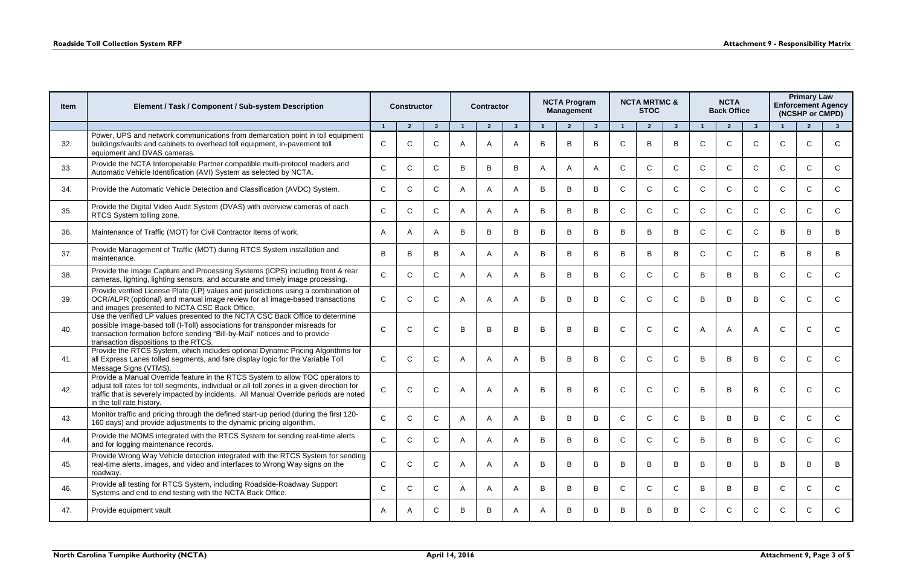| <b>Item</b> | Element / Task / Component / Sub-system Description                                                                                                                                                                                                                                                | <b>Constructor</b> |                |                |              | <b>Contractor</b> |                |              | <b>NCTA Program</b><br><b>Management</b> |                |              | <b>NCTA MRTMC &amp;</b><br><b>STOC</b> |              |              | <b>NCTA</b><br><b>Back Office</b> |              | <b>Primary Law</b><br><b>Enforcement Agency</b><br>(NCSHP or CMPD) |                |              |  |
|-------------|----------------------------------------------------------------------------------------------------------------------------------------------------------------------------------------------------------------------------------------------------------------------------------------------------|--------------------|----------------|----------------|--------------|-------------------|----------------|--------------|------------------------------------------|----------------|--------------|----------------------------------------|--------------|--------------|-----------------------------------|--------------|--------------------------------------------------------------------|----------------|--------------|--|
|             |                                                                                                                                                                                                                                                                                                    | $\overline{1}$     | $\overline{2}$ | 3 <sup>2</sup> |              | $\overline{2}$    | $\mathbf{3}$   |              | $\overline{2}$                           | 3 <sup>1</sup> | $\mathbf{1}$ | $\overline{2}$                         | $\mathbf{3}$ |              | $\overline{2}$                    | $3^{\circ}$  |                                                                    | $\overline{2}$ | $\mathbf{3}$ |  |
| 32.         | Power, UPS and network communications from demarcation point in toll equipment<br>buildings/vaults and cabinets to overhead toll equipment, in-pavement toll<br>equipment and DVAS cameras.                                                                                                        | $\mathsf{C}$       | C              | $\mathsf{C}$   | Α            |                   | A              | B            | B                                        | B              | C            |                                        | B            | $\mathsf{C}$ | $\mathsf{C}$                      |              | $\mathsf{C}$                                                       |                | C.           |  |
| 33.         | Provide the NCTA Interoperable Partner compatible multi-protocol readers and<br>Automatic Vehicle Identification (AVI) System as selected by NCTA.                                                                                                                                                 | $\mathsf{C}$       | C              | $\mathsf{C}$   | B            | B                 | B              | A            | $\mathsf{A}$                             | A              | $\mathsf{C}$ | C.                                     | $\mathsf{C}$ | $\mathsf{C}$ | $\mathsf{C}$                      | $\mathsf{C}$ | $\mathsf{C}$                                                       | C              | C            |  |
| 34.         | Provide the Automatic Vehicle Detection and Classification (AVDC) System.                                                                                                                                                                                                                          | $\mathsf{C}$       | C              | $\mathsf{C}$   | A            | A                 | A              | B            | B                                        | B              | $\mathsf{C}$ | C                                      | $\mathsf{C}$ | $\mathsf{C}$ | $\mathsf{C}$                      | C            | $\mathsf{C}$                                                       | C              | C            |  |
| 35.         | Provide the Digital Video Audit System (DVAS) with overview cameras of each<br>RTCS System tolling zone.                                                                                                                                                                                           | $\mathsf{C}$       | C              | $\mathsf{C}$   | A            | A                 | A              | B            | B                                        | B              | $\mathsf{C}$ | C                                      | $\mathsf{C}$ | $\mathsf{C}$ | $\mathsf{C}$                      | C.           | $\mathsf{C}$                                                       | C              | C            |  |
| 36.         | Maintenance of Traffic (MOT) for Civil Contractor items of work.                                                                                                                                                                                                                                   | A                  |                | A              | B            | B                 | B              | B            | B                                        | B              | B            | B                                      | B            | $\mathsf{C}$ | $\mathsf{C}$                      | C            | B                                                                  | B              | B            |  |
| 37.         | Provide Management of Traffic (MOT) during RTCS System installation and<br>maintenance.                                                                                                                                                                                                            | B                  | B              | B              | A            | A                 | $\overline{A}$ | B            | B                                        | B              | B            | B                                      | B            | $\mathsf{C}$ | $\mathsf{C}$                      | C            | B                                                                  | B.             | B            |  |
| 38.         | Provide the Image Capture and Processing Systems (ICPS) including front & rear<br>cameras, lighting, lighting sensors, and accurate and timely image processing.                                                                                                                                   | $\mathsf{C}$       | $\mathsf{C}$   | $\mathsf{C}$   | A            | A                 | A              | B            | B                                        | B              | $\mathsf{C}$ | $\mathsf{C}$                           | $\mathsf{C}$ | B            | B                                 | B            | $\mathsf{C}$                                                       | C              | $\mathsf{C}$ |  |
| 39.         | Provide verified License Plate (LP) values and jurisdictions using a combination of<br>OCR/ALPR (optional) and manual image review for all image-based transactions<br>and images presented to NCTA CSC Back Office.                                                                               | $\mathsf{C}$       | C              | $\mathsf{C}$   | A            |                   | A              | B            | B                                        | B              | C            |                                        | C            | B            | B                                 | B            | $\mathsf{C}$                                                       | C              | C.           |  |
| 40.         | Use the verified LP values presented to the NCTA CSC Back Office to determine<br>possible image-based toll (I-Toll) associations for transponder misreads for<br>transaction formation before sending "Bill-by-Mail" notices and to provide<br>transaction dispositions to the RTCS.               | $\mathsf{C}$       | C              | $\mathsf{C}$   | B            | B                 | B              | B            | $\mathsf B$                              | B              | $\mathsf{C}$ |                                        | $\mathsf{C}$ | A            | A                                 |              | $\mathsf{C}$                                                       | C              | $\mathsf{C}$ |  |
| 41.         | Provide the RTCS System, which includes optional Dynamic Pricing Algorithms for<br>all Express Lanes tolled segments, and fare display logic for the Variable Toll<br>Message Signs (VTMS).                                                                                                        | $\mathsf{C}$       | C              | $\mathsf{C}$   | A            | A                 | A              | B            | B                                        | B              | $\mathsf{C}$ | $\mathsf{C}$                           | $\mathsf{C}$ | B            | B                                 | B            | $\mathsf{C}$                                                       | $\mathcal{C}$  | C            |  |
| 42.         | Provide a Manual Override feature in the RTCS System to allow TOC operators to<br>adjust toll rates for toll segments, individual or all toll zones in a given direction for<br>traffic that is severely impacted by incidents. All Manual Override periods are noted<br>in the toll rate history. | $\mathsf{C}$       | C              | $\mathsf{C}$   | A            | Α                 | A              | B            | B                                        | B              |              |                                        | $\mathsf{C}$ | B            | B                                 | B            | C                                                                  | C              | C.           |  |
| 43.         | Monitor traffic and pricing through the defined start-up period (during the first 120-<br>160 days) and provide adjustments to the dynamic pricing algorithm.                                                                                                                                      | $\mathsf{C}$       | C              | $\mathsf{C}$   | А            |                   | A              | B            | B                                        | B              | C            |                                        | C            |              | B                                 | B            | $\mathsf{C}$                                                       | C              | C            |  |
| 44.         | Provide the MOMS integrated with the RTCS System for sending real-time alerts<br>and for logging maintenance records.                                                                                                                                                                              | $\mathsf{C}$       | $\mathsf{C}$   | $\mathsf{C}$   | A            | A                 | A              | B            | B                                        | B              | $\mathsf{C}$ | $\mathsf{C}$                           | $\mathsf{C}$ | B            | B                                 | B            | $\mathsf{C}$                                                       | $\mathsf{C}$   | $\mathsf{C}$ |  |
| 45.         | Provide Wrong Way Vehicle detection integrated with the RTCS System for sending<br>real-time alerts, images, and video and interfaces to Wrong Way signs on the<br>roadway.                                                                                                                        | $\mathsf{C}$       | $\mathbf C$    | $\mathsf{C}$   | A            | A                 | A              | B            | B                                        | B              | B            | B                                      | B            | B            | B                                 | B            | B                                                                  | B              | B            |  |
| 46.         | Provide all testing for RTCS System, including Roadside-Roadway Support<br>Systems and end to end testing with the NCTA Back Office.                                                                                                                                                               | $\mathsf{C}$       | $\mathsf{C}$   | $\mathsf{C}$   | $\mathsf{A}$ | A                 | A              | B            | B                                        | B              | $\mathsf{C}$ | $\mathsf{C}$                           | $\mathsf{C}$ | B            | B                                 | B            | $\mathsf{C}$                                                       | $\mathsf{C}$   | $\mathsf{C}$ |  |
| 47.         | Provide equipment vault                                                                                                                                                                                                                                                                            | A                  | A              | $\mathsf{C}$   | B            | B                 | A              | $\mathsf{A}$ | B                                        | B              | B            | B                                      | B            | $\mathsf{C}$ | $\mathsf{C}$                      | $\mathsf{C}$ | $\mathsf{C}$                                                       | $\mathsf{C}$   | $\mathsf{C}$ |  |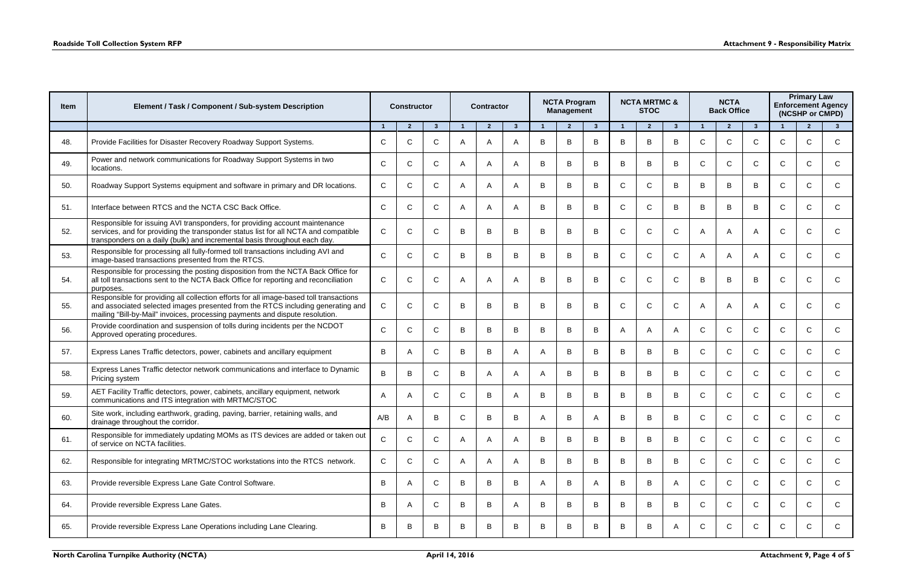| <b>Item</b> | Element / Task / Component / Sub-system Description                                                                                                                                                                                                       |              | <b>Constructor</b>      |              |              | <b>Contractor</b> |                |   | <b>NCTA Program</b><br><b>Management</b> |              |              | <b>NCTA MRTMC &amp;</b><br><b>STOC</b> |              |              | <b>NCTA</b><br><b>Back Office</b> |              | <b>Primary Law</b><br><b>Enforcement Agency</b><br>(NCSHP or CMPD) |                |              |  |
|-------------|-----------------------------------------------------------------------------------------------------------------------------------------------------------------------------------------------------------------------------------------------------------|--------------|-------------------------|--------------|--------------|-------------------|----------------|---|------------------------------------------|--------------|--------------|----------------------------------------|--------------|--------------|-----------------------------------|--------------|--------------------------------------------------------------------|----------------|--------------|--|
|             |                                                                                                                                                                                                                                                           | $\mathbf{1}$ | $\overline{\mathbf{z}}$ | $\mathbf{3}$ |              | $\overline{2}$    | $\mathbf{3}$   |   | $\overline{2}$                           | $\mathbf{3}$ |              | $\mathbf{z}$                           | $\mathbf{3}$ |              | $\overline{2}$                    | $\mathbf{3}$ |                                                                    | $\overline{2}$ | $\mathbf{3}$ |  |
| 48.         | Provide Facilities for Disaster Recovery Roadway Support Systems.                                                                                                                                                                                         | $\mathsf{C}$ | C                       | $\mathsf{C}$ | A            | A                 | A              | B | B                                        | B            | B            | B                                      | B            | $\mathsf{C}$ | $\mathsf{C}$                      | C            | $\mathsf{C}$                                                       | $\mathsf{C}$   | C            |  |
| 49.         | Power and network communications for Roadway Support Systems in two<br>locations.                                                                                                                                                                         | $\mathsf{C}$ | C                       | C            | A            | A                 | A              | B | B                                        | B            | B            | B                                      | B            | $\mathsf{C}$ | $\mathsf{C}$                      | C            | $\mathsf{C}$                                                       | C              | $\mathsf{C}$ |  |
| 50.         | Roadway Support Systems equipment and software in primary and DR locations.                                                                                                                                                                               | $\mathsf{C}$ | C                       | C.           | A            | A                 | A              | B | B                                        | B            | $\mathsf{C}$ | C                                      | B            | B            | B                                 | B            | $\mathsf C$                                                        | C              | C            |  |
| 51.         | Interface between RTCS and the NCTA CSC Back Office.                                                                                                                                                                                                      | $\mathsf{C}$ | C                       | C.           | A            | A                 | A              | B | B                                        | B            | C            | C                                      | B            | B            | B                                 | B            | $\mathsf{C}$                                                       | C              | C            |  |
| 52.         | Responsible for issuing AVI transponders, for providing account maintenance<br>services, and for providing the transponder status list for all NCTA and compatible<br>transponders on a daily (bulk) and incremental basis throughout each day.           | $\mathsf C$  | $\mathsf{C}$            | $\mathsf{C}$ | B            | B                 | B              | B | B                                        | B            | $\mathsf{C}$ | C                                      | $\mathsf C$  | A            | A                                 |              | $\mathsf{C}$                                                       | C              | $\mathsf{C}$ |  |
| 53.         | Responsible for processing all fully-formed toll transactions including AVI and<br>image-based transactions presented from the RTCS.                                                                                                                      | $\mathsf{C}$ | $\mathsf{C}$            | C.           | B            | B                 | B              | B | B                                        | B            | $\mathsf{C}$ | C                                      | $\mathsf{C}$ |              | $\mathsf{A}$                      |              | $\mathsf{C}$                                                       | C              | C            |  |
| 54.         | Responsible for processing the posting disposition from the NCTA Back Office for<br>all toll transactions sent to the NCTA Back Office for reporting and reconciliation<br>purposes.                                                                      | $\mathsf{C}$ | $\mathsf{C}$            | $\mathsf{C}$ | A            | A                 | $\overline{A}$ | B | B                                        | B            | $\mathsf{C}$ | $\mathsf{C}$                           | $\mathsf{C}$ | B            | B                                 | B            | $\mathsf{C}$                                                       | C              | $\mathsf{C}$ |  |
| 55.         | Responsible for providing all collection efforts for all image-based toll transactions<br>and associated selected images presented from the RTCS including generating and<br>mailing "Bill-by-Mail" invoices, processing payments and dispute resolution. | $\mathsf{C}$ | C                       | $\mathsf{C}$ | B            | B                 | B              | B | B                                        | B            | C            | C                                      | $\mathsf{C}$ | A            | $\overline{A}$                    |              | $\mathsf{C}$                                                       | C              | $\mathsf{C}$ |  |
| 56.         | Provide coordination and suspension of tolls during incidents per the NCDOT<br>Approved operating procedures.                                                                                                                                             | $\mathsf{C}$ | $\mathsf{C}$            | $\mathsf C$  | B            | В                 | B              | B | B                                        | B            | A            | A                                      | A            | $\mathsf{C}$ | $\mathsf{C}$                      | $\mathsf{C}$ | $\mathsf{C}$                                                       | $\mathsf{C}$   | $\mathsf{C}$ |  |
| 57.         | Express Lanes Traffic detectors, power, cabinets and ancillary equipment                                                                                                                                                                                  | B            | A                       | $\mathsf{C}$ | B            | B                 | A              | A | B                                        | B            | B            | В                                      | B            | $\mathsf{C}$ | $\mathsf{C}$                      | $\mathsf{C}$ | $\mathsf{C}$                                                       | C              | $\mathsf{C}$ |  |
| 58.         | Express Lanes Traffic detector network communications and interface to Dynamic<br>Pricing system                                                                                                                                                          | $\mathsf B$  | B                       | $\mathsf C$  | B            | A                 | A              | A | B                                        | B            | B            | B                                      | B            | $\mathsf{C}$ | $\mathsf{C}$                      | $\mathsf{C}$ | $\mathsf{C}$                                                       | C              | $\mathsf{C}$ |  |
| 59.         | AET Facility Traffic detectors, power, cabinets, ancillary equipment, network<br>communications and ITS integration with MRTMC/STOC                                                                                                                       | A            | A                       | $\mathsf{C}$ | $\mathsf{C}$ | B                 | A              | B | B                                        | B            | B            | B                                      | B            | $\mathsf{C}$ | $\mathsf{C}$                      | C.           | $\mathsf{C}$                                                       | $\mathcal{C}$  | $\mathsf{C}$ |  |
| 60.         | Site work, including earthwork, grading, paving, barrier, retaining walls, and<br>drainage throughout the corridor.                                                                                                                                       | A/B          | A                       | B            | C            | В                 | B              | A | B                                        |              | B            | В                                      | B            | C            | $\mathsf{C}$                      | C            | $\mathsf{C}$                                                       | C              |              |  |
| 61.         | Responsible for immediately updating MOMs as ITS devices are added or taken out<br>of service on NCTA facilities.                                                                                                                                         | $\mathsf{C}$ | $\mathsf{C}$            | $\mathsf{C}$ | A            | $\mathsf{A}$      | $\mathsf{A}$   | B | B                                        | B            | B            | B                                      | B            | $\mathsf{C}$ | C                                 | C            | $\mathsf{C}$                                                       | C              | C.           |  |
| 62.         | Responsible for integrating MRTMC/STOC workstations into the RTCS network.                                                                                                                                                                                | $\mathsf{C}$ | $\mathsf{C}$            | $\mathsf{C}$ | A            | A                 | A              | B | B                                        | B            | B            | B                                      | B            | $\mathsf{C}$ | $\mathsf{C}$                      | C            | $\mathsf{C}$                                                       | C              | $\mathsf{C}$ |  |
| 63.         | Provide reversible Express Lane Gate Control Software.                                                                                                                                                                                                    | B            | A                       | C            | B            | B                 | B              | A | B                                        | $\mathsf{A}$ | B            | B                                      | A            | $\mathsf{C}$ | $\mathsf{C}$                      | C            | $\mathsf{C}$                                                       | C              | $\mathsf{C}$ |  |
| 64.         | Provide reversible Express Lane Gates.                                                                                                                                                                                                                    | B            | A                       | C            | B            | B                 | A              | B | B                                        | B            | B            | B                                      | B            | $\mathsf{C}$ | $\mathsf{C}$                      | C            | $\mathsf{C}$                                                       | C              | C            |  |
| 65.         | Provide reversible Express Lane Operations including Lane Clearing.                                                                                                                                                                                       | B            | B                       | B            | B            | В                 | B              | B | B                                        | B            | B            | В                                      | A            | $\mathsf{C}$ | $\mathsf{C}$                      | C.           | $\mathsf C$                                                        | C              | $\mathsf{C}$ |  |